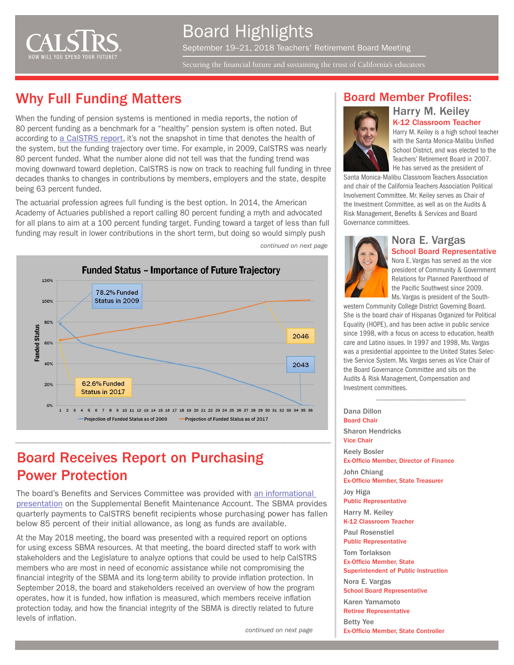

Securing the financial future and sustaining the trust of California's educators

### Why Full Funding Matters

When the funding of pension systems is mentioned in media reports, the notion of 80 percent funding as a benchmark for a "healthy" pension system is often noted. But according to [a CalSTRS report](http://resources.calstrs.com/publicdocs/Page/CommonPage.aspx?PageName=DocumentDownload&Id=a6dec119-bc96-498e-832a-4005e92badf9), it's not the snapshot in time that denotes the health of the system, but the funding trajectory over time. For example, in 2009, CalSTRS was nearly 80 percent funded. What the number alone did not tell was that the funding trend was moving downward toward depletion. CalSTRS is now on track to reaching full funding in three decades thanks to changes in contributions by members, employers and the state, despite being 63 percent funded.

The actuarial profession agrees full funding is the best option. In 2014, the American Academy of Actuaries published a report calling 80 percent funding a myth and advocated for all plans to aim at a 100 percent funding target. Funding toward a target of less than full funding may result in lower contributions in the short term, but doing so would simply push



*continued on next page*

#### Board Member Profiles:



Harry M. Keiley is a high school teacher with the Santa Monica-Malibu Unified School District, and was elected to the Teachers' Retirement Board in 2007. He has served as the president of

Harry M. Keiley K-12 Classroom Teacher

Santa Monica-Malibu Classroom Teachers Association and chair of the California Teachers Association Political Involvement Committee. Mr. Keiley serves as Chair of the Investment Committee, as well as on the Audits & Risk Management, Benefits & Services and Board Governance committees.

# Nora E. Vargas

School Board Representative Nora E. Vargas has served as the vice president of Community & Government Relations for Planned Parenthood of the Pacific Southwest since 2009. Ms. Vargas is president of the South-

western Community College District Governing Board. She is the board chair of Hispanas Organized for Political Equality (HOPE), and has been active in public service since 1998, with a focus on access to education, health care and Latino issues. In 1997 and 1998, Ms. Vargas was a presidential appointee to the United States Selective Service System. Ms. Vargas serves as Vice Chair of the Board Governance Committee and sits on the Audits & Risk Management, Compensation and Investment committees.

Dana Dillon Board Chair Sharon Hendricks Vice Chair Keely Bosler Ex-Officio Member, Director of Finance John Chiang Ex-Officio Member, State Treasurer Joy Higa Public Representative Harry M. Keiley K-12 Classroom Teacher Paul Rosenstiel Public Representative Tom Torlakson Ex-Officio Member, State Superintendent of Public Instruction Nora E. Vargas School Board Representative Karen Yamamoto Retiree Representative Betty Yee Ex-Officio Member, State Controller

#### Board Receives Report on Purchasing Power Protection

The board's Benefits and Services Committee was provided with [an informational](http://resources.calstrs.com/publicdocs/Page/CommonPage.aspx?PageName=DocumentDownload&Id=c269bcc6-1512-4345-bbb8-df8813f4e8af)  [presentation](http://resources.calstrs.com/publicdocs/Page/CommonPage.aspx?PageName=DocumentDownload&Id=c269bcc6-1512-4345-bbb8-df8813f4e8af) on the Supplemental Benefit Maintenance Account. The SBMA provides quarterly payments to CalSTRS benefit recipients whose purchasing power has fallen below 85 percent of their initial allowance, as long as funds are available.

At the May 2018 meeting, the board was presented with a required report on options for using excess SBMA resources. At that meeting, the board directed staff to work with stakeholders and the Legislature to analyze options that could be used to help CalSTRS members who are most in need of economic assistance while not compromising the financial integrity of the SBMA and its long-term ability to provide inflation protection. In September 2018, the board and stakeholders received an overview of how the program operates, how it is funded, how inflation is measured, which members receive inflation protection today, and how the financial integrity of the SBMA is directly related to future levels of inflation.

*continued on next page*